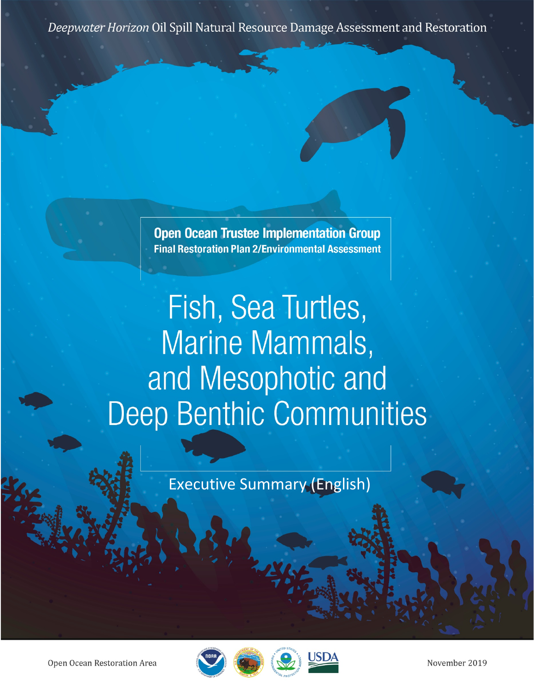Deepwater Horizon Oil Spill Natural Resource Damage Assessment and Restoration

**Open Ocean Trustee Implementation Group Final Restoration Plan 2/Environmental Assessment** 

Fish, Sea Turtles, Marine Mammals, and Mesophotic and **Deep Benthic Communities** 

**Executive Summary (English)** 

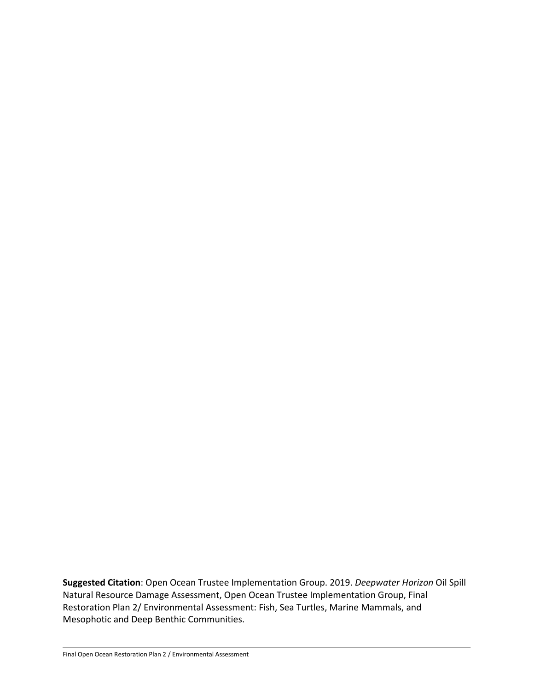**Suggested Citation**: Open Ocean Trustee Implementation Group. 2019. *Deepwater Horizon* Oil Spill Natural Resource Damage Assessment, Open Ocean Trustee Implementation Group, Final Restoration Plan 2/ Environmental Assessment: Fish, Sea Turtles, Marine Mammals, and Mesophotic and Deep Benthic Communities.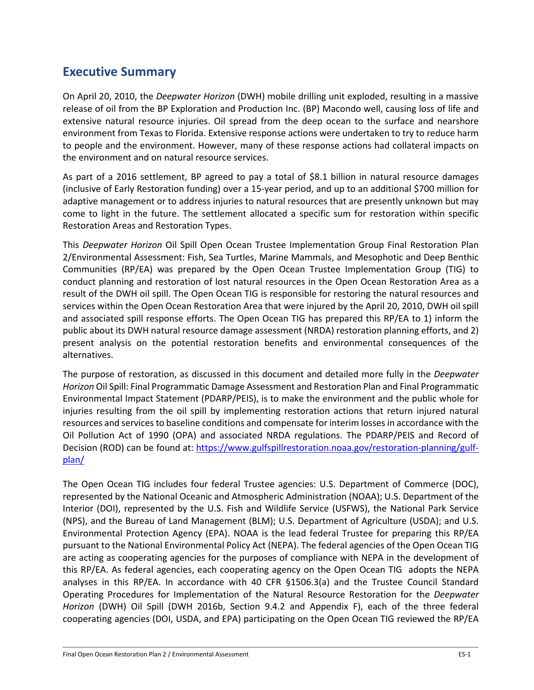## **Executive Summary**

On April 20, 2010, the *Deepwater Horizon* (DWH) mobile drilling unit exploded, resulting in a massive release of oil from the BP Exploration and Production Inc. (BP) Macondo well, causing loss of life and extensive natural resource injuries. Oil spread from the deep ocean to the surface and nearshore environment from Texas to Florida. Extensive response actions were undertaken to try to reduce harm to people and the environment. However, many of these response actions had collateral impacts on the environment and on natural resource services.

As part of a 2016 settlement, BP agreed to pay a total of \$8.1 billion in natural resource damages (inclusive of Early Restoration funding) over a 15-year period, and up to an additional \$700 million for adaptive management or to address injuries to natural resources that are presently unknown but may come to light in the future. The settlement allocated a specific sum for restoration within specific Restoration Areas and Restoration Types.

This *Deepwater Horizon* Oil Spill Open Ocean Trustee Implementation Group Final Restoration Plan 2/Environmental Assessment: Fish, Sea Turtles, Marine Mammals, and Mesophotic and Deep Benthic Communities (RP/EA) was prepared by the Open Ocean Trustee Implementation Group (TIG) to conduct planning and restoration of lost natural resources in the Open Ocean Restoration Area as a result of the DWH oil spill. The Open Ocean TIG is responsible for restoring the natural resources and services within the Open Ocean Restoration Area that were injured by the April 20, 2010, DWH oil spill and associated spill response efforts. The Open Ocean TIG has prepared this RP/EA to 1) inform the public about its DWH natural resource damage assessment (NRDA) restoration planning efforts, and 2) present analysis on the potential restoration benefits and environmental consequences of the alternatives.

The purpose of restoration, as discussed in this document and detailed more fully in the *Deepwater Horizon* Oil Spill: Final Programmatic Damage Assessment and Restoration Plan and Final Programmatic Environmental Impact Statement (PDARP/PEIS), is to make the environment and the public whole for injuries resulting from the oil spill by implementing restoration actions that return injured natural resources and services to baseline conditions and compensate for interim losses in accordance with the Oil Pollution Act of 1990 (OPA) and associated NRDA regulations. The PDARP/PEIS and Record of Decision (ROD) can be found at: [https://www.gulfspillrestoration.noaa.gov/restoration-planning/gulf](https://www.gulfspillrestoration.noaa.gov/restoration-planning/gulf-plan/)[plan/](https://www.gulfspillrestoration.noaa.gov/restoration-planning/gulf-plan/)

The Open Ocean TIG includes four federal Trustee agencies: U.S. Department of Commerce (DOC), represented by the National Oceanic and Atmospheric Administration (NOAA); U.S. Department of the Interior (DOI), represented by the U.S. Fish and Wildlife Service (USFWS), the National Park Service (NPS), and the Bureau of Land Management (BLM); U.S. Department of Agriculture (USDA); and U.S. Environmental Protection Agency (EPA). NOAA is the lead federal Trustee for preparing this RP/EA pursuant to the National Environmental Policy Act (NEPA). The federal agencies of the Open Ocean TIG are acting as cooperating agencies for the purposes of compliance with NEPA in the development of this RP/EA. As federal agencies, each cooperating agency on the Open Ocean TIG adopts the NEPA analyses in this RP/EA. In accordance with 40 CFR §1506.3(a) and the Trustee Council Standard Operating Procedures for Implementation of the Natural Resource Restoration for the *Deepwater Horizon* (DWH) Oil Spill (DWH 2016b, Section 9.4.2 and Appendix F), each of the three federal cooperating agencies (DOI, USDA, and EPA) participating on the Open Ocean TIG reviewed the RP/EA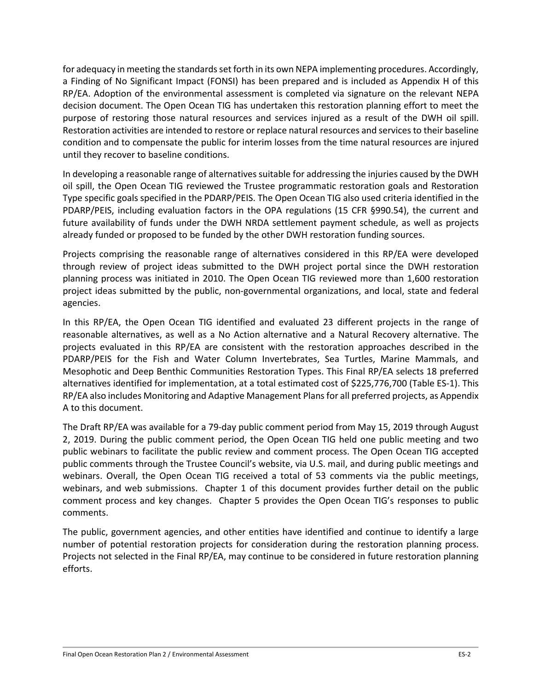for adequacy in meeting the standards set forth in its own NEPA implementing procedures. Accordingly, a Finding of No Significant Impact (FONSI) has been prepared and is included as Appendix H of this RP/EA. Adoption of the environmental assessment is completed via signature on the relevant NEPA decision document. The Open Ocean TIG has undertaken this restoration planning effort to meet the purpose of restoring those natural resources and services injured as a result of the DWH oil spill. Restoration activities are intended to restore or replace natural resources and services to their baseline condition and to compensate the public for interim losses from the time natural resources are injured until they recover to baseline conditions.

In developing a reasonable range of alternatives suitable for addressing the injuries caused by the DWH oil spill, the Open Ocean TIG reviewed the Trustee programmatic restoration goals and Restoration Type specific goals specified in the PDARP/PEIS. The Open Ocean TIG also used criteria identified in the PDARP/PEIS, including evaluation factors in the OPA regulations (15 CFR §990.54), the current and future availability of funds under the DWH NRDA settlement payment schedule, as well as projects already funded or proposed to be funded by the other DWH restoration funding sources.

Projects comprising the reasonable range of alternatives considered in this RP/EA were developed through review of project ideas submitted to the DWH project portal since the DWH restoration planning process was initiated in 2010. The Open Ocean TIG reviewed more than 1,600 restoration project ideas submitted by the public, non-governmental organizations, and local, state and federal agencies.

In this RP/EA, the Open Ocean TIG identified and evaluated 23 different projects in the range of reasonable alternatives, as well as a No Action alternative and a Natural Recovery alternative. The projects evaluated in this RP/EA are consistent with the restoration approaches described in the PDARP/PEIS for the Fish and Water Column Invertebrates, Sea Turtles, Marine Mammals, and Mesophotic and Deep Benthic Communities Restoration Types. This Final RP/EA selects 18 preferred alternatives identified for implementation, at a total estimated cost of \$225,776,700 (Table ES-1). This RP/EA also includes Monitoring and Adaptive Management Plans for all preferred projects, as Appendix A to this document.

The Draft RP/EA was available for a 79-day public comment period from May 15, 2019 through August 2, 2019. During the public comment period, the Open Ocean TIG held one public meeting and two public webinars to facilitate the public review and comment process. The Open Ocean TIG accepted public comments through the Trustee Council's website, via U.S. mail, and during public meetings and webinars. Overall, the Open Ocean TIG received a total of 53 comments via the public meetings, webinars, and web submissions. Chapter 1 of this document provides further detail on the public comment process and key changes. Chapter 5 provides the Open Ocean TIG's responses to public comments.

The public, government agencies, and other entities have identified and continue to identify a large number of potential restoration projects for consideration during the restoration planning process. Projects not selected in the Final RP/EA, may continue to be considered in future restoration planning efforts.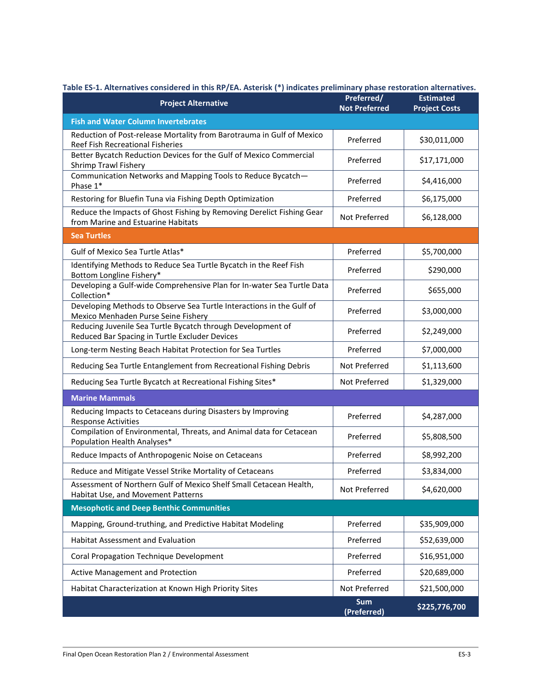| Table ES-1. Alternatives considered in this RP/EA. Asterisk (*) indicates preliminary phase restoration alternatives.<br><b>Project Alternative</b> | Preferred/                | <b>Estimated</b>     |  |  |  |  |
|-----------------------------------------------------------------------------------------------------------------------------------------------------|---------------------------|----------------------|--|--|--|--|
|                                                                                                                                                     | <b>Not Preferred</b>      | <b>Project Costs</b> |  |  |  |  |
| <b>Fish and Water Column Invertebrates</b>                                                                                                          |                           |                      |  |  |  |  |
| Reduction of Post-release Mortality from Barotrauma in Gulf of Mexico<br>Reef Fish Recreational Fisheries                                           | Preferred                 | \$30,011,000         |  |  |  |  |
| Better Bycatch Reduction Devices for the Gulf of Mexico Commercial<br>Shrimp Trawl Fishery                                                          | Preferred                 | \$17,171,000         |  |  |  |  |
| Communication Networks and Mapping Tools to Reduce Bycatch-<br>Phase 1*                                                                             | Preferred                 | \$4,416,000          |  |  |  |  |
| Restoring for Bluefin Tuna via Fishing Depth Optimization                                                                                           | Preferred                 | \$6,175,000          |  |  |  |  |
| Reduce the Impacts of Ghost Fishing by Removing Derelict Fishing Gear<br>from Marine and Estuarine Habitats                                         | Not Preferred             | \$6,128,000          |  |  |  |  |
| <b>Sea Turtles</b>                                                                                                                                  |                           |                      |  |  |  |  |
| Gulf of Mexico Sea Turtle Atlas*                                                                                                                    | Preferred                 | \$5,700,000          |  |  |  |  |
| Identifying Methods to Reduce Sea Turtle Bycatch in the Reef Fish<br>Bottom Longline Fishery*                                                       | Preferred                 | \$290,000            |  |  |  |  |
| Developing a Gulf-wide Comprehensive Plan for In-water Sea Turtle Data<br>Collection*                                                               | Preferred                 | \$655,000            |  |  |  |  |
| Developing Methods to Observe Sea Turtle Interactions in the Gulf of<br>Mexico Menhaden Purse Seine Fishery                                         | Preferred                 | \$3,000,000          |  |  |  |  |
| Reducing Juvenile Sea Turtle Bycatch through Development of<br>Reduced Bar Spacing in Turtle Excluder Devices                                       | Preferred                 | \$2,249,000          |  |  |  |  |
| Long-term Nesting Beach Habitat Protection for Sea Turtles                                                                                          | Preferred                 | \$7,000,000          |  |  |  |  |
| Reducing Sea Turtle Entanglement from Recreational Fishing Debris                                                                                   | Not Preferred             | \$1,113,600          |  |  |  |  |
| Reducing Sea Turtle Bycatch at Recreational Fishing Sites*                                                                                          | Not Preferred             | \$1,329,000          |  |  |  |  |
| <b>Marine Mammals</b>                                                                                                                               |                           |                      |  |  |  |  |
| Reducing Impacts to Cetaceans during Disasters by Improving<br><b>Response Activities</b>                                                           | Preferred                 | \$4,287,000          |  |  |  |  |
| Compilation of Environmental, Threats, and Animal data for Cetacean<br>Population Health Analyses*                                                  | Preferred                 | \$5,808,500          |  |  |  |  |
| Reduce Impacts of Anthropogenic Noise on Cetaceans                                                                                                  | Preferred                 | \$8,992,200          |  |  |  |  |
| Reduce and Mitigate Vessel Strike Mortality of Cetaceans                                                                                            | Preferred                 | \$3,834,000          |  |  |  |  |
| Assessment of Northern Gulf of Mexico Shelf Small Cetacean Health,<br>Habitat Use, and Movement Patterns                                            | Not Preferred             | \$4,620,000          |  |  |  |  |
| <b>Mesophotic and Deep Benthic Communities</b>                                                                                                      |                           |                      |  |  |  |  |
| Mapping, Ground-truthing, and Predictive Habitat Modeling                                                                                           | Preferred                 | \$35,909,000         |  |  |  |  |
| Habitat Assessment and Evaluation                                                                                                                   | Preferred                 | \$52,639,000         |  |  |  |  |
| Coral Propagation Technique Development                                                                                                             | Preferred                 | \$16,951,000         |  |  |  |  |
| <b>Active Management and Protection</b>                                                                                                             | Preferred                 | \$20,689,000         |  |  |  |  |
| Habitat Characterization at Known High Priority Sites                                                                                               | Not Preferred             | \$21,500,000         |  |  |  |  |
|                                                                                                                                                     | <b>Sum</b><br>(Preferred) | \$225,776,700        |  |  |  |  |

**Table ES-1. Alternatives considered in this RP/EA. Asterisk (\*) indicates preliminary phase restoration alternatives.**